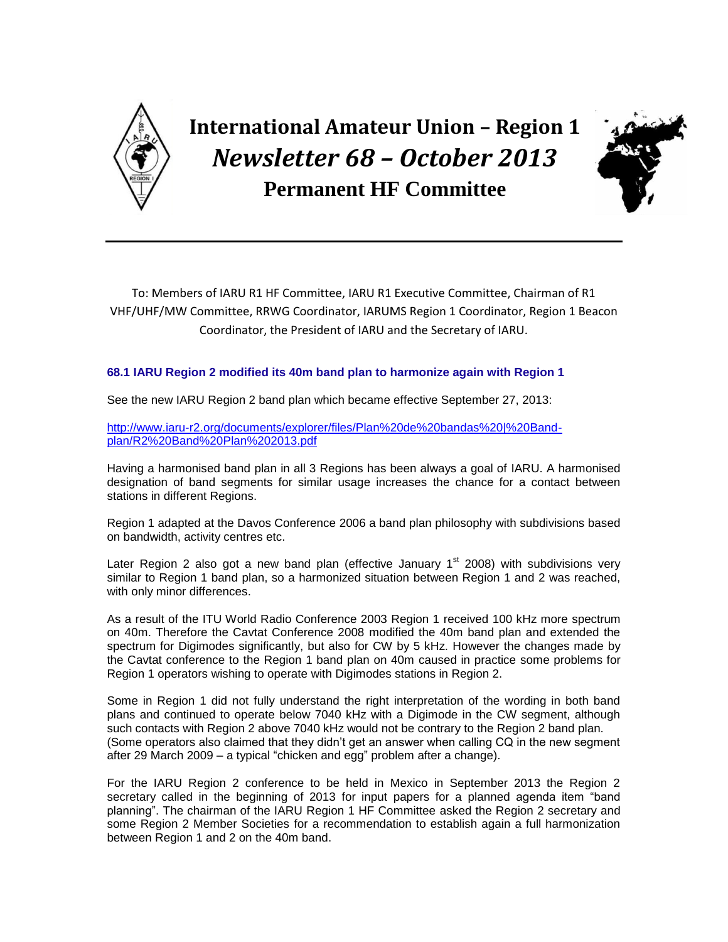

**International Amateur Union – Region 1** *Newsletter 68 – October 2013*  **Permanent HF Committee**



To: Members of IARU R1 HF Committee, IARU R1 Executive Committee, Chairman of R1 VHF/UHF/MW Committee, RRWG Coordinator, IARUMS Region 1 Coordinator, Region 1 Beacon Coordinator, the President of IARU and the Secretary of IARU.

## **68.1 IARU Region 2 modified its 40m band plan to harmonize again with Region 1**

See the new IARU Region 2 band plan which became effective September 27, 2013:

[http://www.iaru-r2.org/documents/explorer/files/Plan%20de%20bandas%20|%20Band](http://www.iaru-r2.org/documents/explorer/files/Plan%20de%20bandas%20|%20Band-plan/R2%20Band%20Plan%202013.pdf)[plan/R2%20Band%20Plan%202013.pdf](http://www.iaru-r2.org/documents/explorer/files/Plan%20de%20bandas%20|%20Band-plan/R2%20Band%20Plan%202013.pdf)

Having a harmonised band plan in all 3 Regions has been always a goal of IARU. A harmonised designation of band segments for similar usage increases the chance for a contact between stations in different Regions.

Region 1 adapted at the Davos Conference 2006 a band plan philosophy with subdivisions based on bandwidth, activity centres etc.

Later Region 2 also got a new band plan (effective January  $1<sup>st</sup>$  2008) with subdivisions very similar to Region 1 band plan, so a harmonized situation between Region 1 and 2 was reached, with only minor differences.

As a result of the ITU World Radio Conference 2003 Region 1 received 100 kHz more spectrum on 40m. Therefore the Cavtat Conference 2008 modified the 40m band plan and extended the spectrum for Digimodes significantly, but also for CW by 5 kHz. However the changes made by the Cavtat conference to the Region 1 band plan on 40m caused in practice some problems for Region 1 operators wishing to operate with Digimodes stations in Region 2.

Some in Region 1 did not fully understand the right interpretation of the wording in both band plans and continued to operate below 7040 kHz with a Digimode in the CW segment, although such contacts with Region 2 above 7040 kHz would not be contrary to the Region 2 band plan. (Some operators also claimed that they didn't get an answer when calling CQ in the new segment after 29 March 2009 – a typical "chicken and egg" problem after a change).

For the IARU Region 2 conference to be held in Mexico in September 2013 the Region 2 secretary called in the beginning of 2013 for input papers for a planned agenda item "band planning". The chairman of the IARU Region 1 HF Committee asked the Region 2 secretary and some Region 2 Member Societies for a recommendation to establish again a full harmonization between Region 1 and 2 on the 40m band.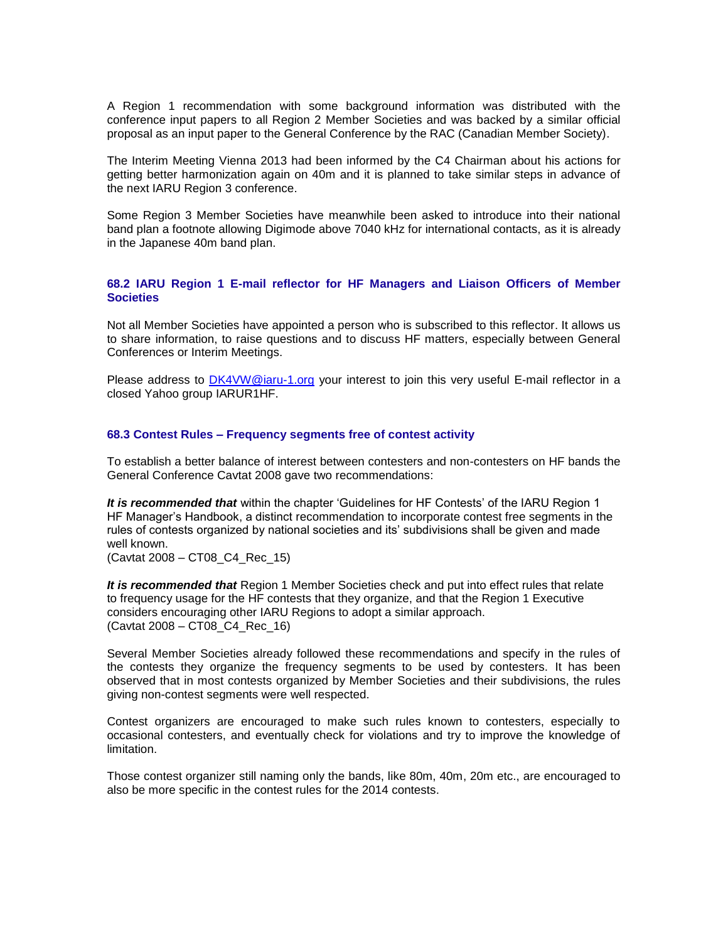A Region 1 recommendation with some background information was distributed with the conference input papers to all Region 2 Member Societies and was backed by a similar official proposal as an input paper to the General Conference by the RAC (Canadian Member Society).

The Interim Meeting Vienna 2013 had been informed by the C4 Chairman about his actions for getting better harmonization again on 40m and it is planned to take similar steps in advance of the next IARU Region 3 conference.

Some Region 3 Member Societies have meanwhile been asked to introduce into their national band plan a footnote allowing Digimode above 7040 kHz for international contacts, as it is already in the Japanese 40m band plan.

## **68.2 IARU Region 1 E-mail reflector for HF Managers and Liaison Officers of Member Societies**

Not all Member Societies have appointed a person who is subscribed to this reflector. It allows us to share information, to raise questions and to discuss HF matters, especially between General Conferences or Interim Meetings.

Please address to [DK4VW@iaru-1.org](mailto:DK4VW@iaru-1.org) your interest to join this very useful E-mail reflector in a closed Yahoo group IARUR1HF.

## **68.3 Contest Rules – Frequency segments free of contest activity**

To establish a better balance of interest between contesters and non-contesters on HF bands the General Conference Cavtat 2008 gave two recommendations:

*It is recommended that* within the chapter 'Guidelines for HF Contests' of the IARU Region 1 HF Manager's Handbook, a distinct recommendation to incorporate contest free segments in the rules of contests organized by national societies and its' subdivisions shall be given and made well known.

(Cavtat 2008 – CT08\_C4\_Rec\_15)

*It is recommended that* Region 1 Member Societies check and put into effect rules that relate to frequency usage for the HF contests that they organize, and that the Region 1 Executive considers encouraging other IARU Regions to adopt a similar approach. (Cavtat 2008 – CT08\_C4\_Rec\_16)

Several Member Societies already followed these recommendations and specify in the rules of the contests they organize the frequency segments to be used by contesters. It has been observed that in most contests organized by Member Societies and their subdivisions, the rules giving non-contest segments were well respected.

Contest organizers are encouraged to make such rules known to contesters, especially to occasional contesters, and eventually check for violations and try to improve the knowledge of limitation.

Those contest organizer still naming only the bands, like 80m, 40m, 20m etc., are encouraged to also be more specific in the contest rules for the 2014 contests.